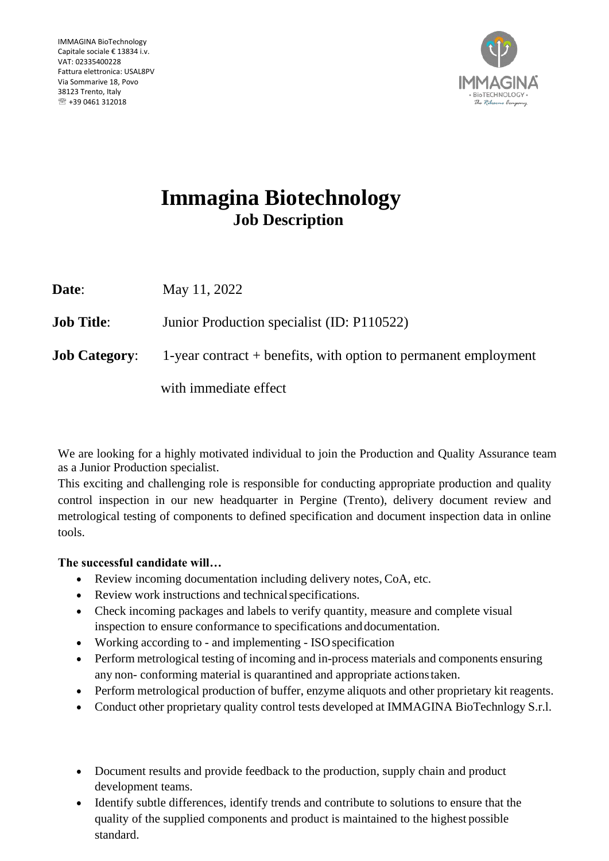

# **Immagina Biotechnology Job Description**

**Date**: May 11, 2022

**Job Title:** Junior Production specialist (ID: P110522)

**Job Category:** 1-year contract + benefits, with option to permanent employment

with immediate effect

We are looking for a highly motivated individual to join the Production and Quality Assurance team as a Junior Production specialist.

This exciting and challenging role is responsible for conducting appropriate production and quality control inspection in our new headquarter in Pergine (Trento), delivery document review and metrological testing of components to defined specification and document inspection data in online tools.

### **The successful candidate will…**

- Review incoming documentation including delivery notes, CoA, etc.
- Review work instructions and technical specifications.
- Check incoming packages and labels to verify quantity, measure and complete visual inspection to ensure conformance to specifications anddocumentation.
- Working according to and implementing ISO specification
- Perform metrological testing of incoming and in-process materials and components ensuring any non- conforming material is quarantined and appropriate actionstaken.
- Perform metrological production of buffer, enzyme aliquots and other proprietary kit reagents.
- Conduct other proprietary quality control tests developed at IMMAGINA BioTechnlogy S.r.l.
- Document results and provide feedback to the production, supply chain and product development teams.
- Identify subtle differences, identify trends and contribute to solutions to ensure that the quality of the supplied components and product is maintained to the highest possible standard.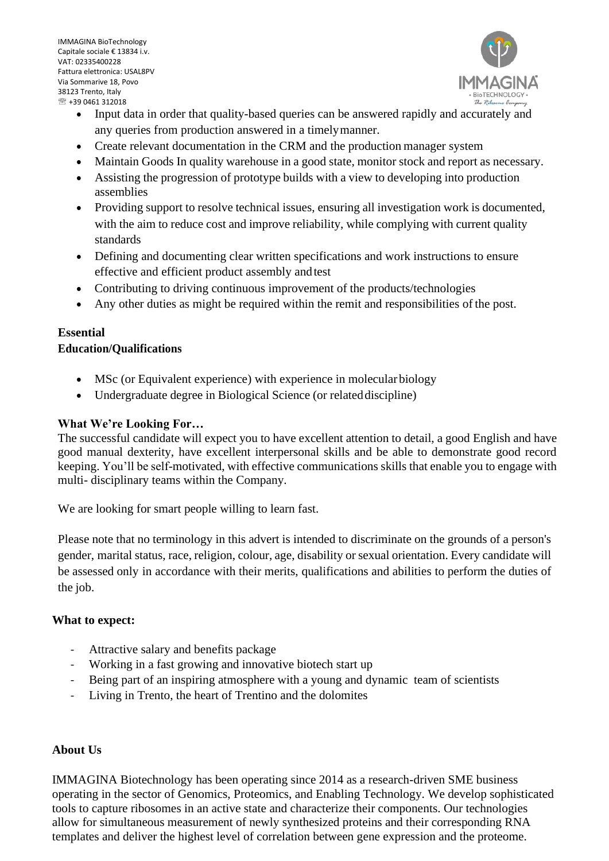IMMAGINA BioTechnology Capitale sociale € 13834 i.v. VAT: 02335400228 Fattura elettronica: USAL8PV Via Sommarive 18, Povo 38123 Trento, Italy  $R$  +39 0461 312018



- Input data in order that quality-based queries can be answered rapidly and accurately and any queries from production answered in a timelymanner.
- Create relevant documentation in the CRM and the production manager system
- Maintain Goods In quality warehouse in a good state, monitor stock and report as necessary.
- Assisting the progression of prototype builds with a view to developing into production assemblies
- Providing support to resolve technical issues, ensuring all investigation work is documented, with the aim to reduce cost and improve reliability, while complying with current quality standards
- Defining and documenting clear written specifications and work instructions to ensure effective and efficient product assembly andtest
- Contributing to driving continuous improvement of the products/technologies
- Any other duties as might be required within the remit and responsibilities of the post.

## **Essential**

#### **Education/Qualifications**

- MSc (or Equivalent experience) with experience in molecular biology
- Undergraduate degree in Biological Science (or related discipline)

#### **What We're Looking For…**

The successful candidate will expect you to have excellent attention to detail, a good English and have good manual dexterity, have excellent interpersonal skills and be able to demonstrate good record keeping. You'll be self-motivated, with effective communications skills that enable you to engage with multi- disciplinary teams within the Company.

We are looking for smart people willing to learn fast.

Please note that no terminology in this advert is intended to discriminate on the grounds of a person's gender, marital status, race, religion, colour, age, disability or sexual orientation. Every candidate will be assessed only in accordance with their merits, qualifications and abilities to perform the duties of the job.

#### **What to expect:**

- Attractive salary and benefits package
- Working in a fast growing and innovative biotech start up
- Being part of an inspiring atmosphere with a young and dynamic team of scientists
- Living in Trento, the heart of Trentino and the dolomites

#### **About Us**

IMMAGINA Biotechnology has been operating since 2014 as a research-driven SME business operating in the sector of Genomics, Proteomics, and Enabling Technology. We develop sophisticated tools to capture ribosomes in an active state and characterize their components. Our technologies allow for simultaneous measurement of newly synthesized proteins and their corresponding RNA templates and deliver the highest level of correlation between gene expression and the proteome.